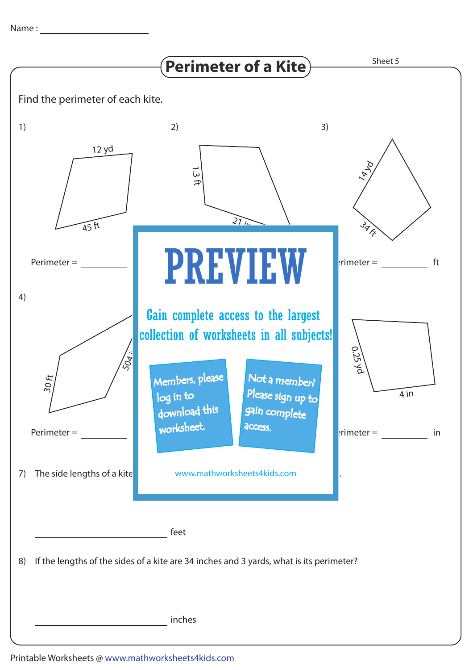